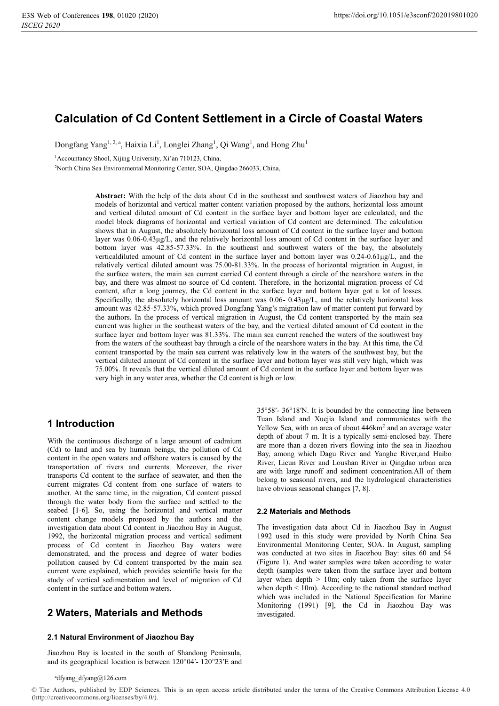# **Calculation of Cd Content Settlement in a Circle of Coastal Waters**

Dongfang Yang<sup>1, 2, a</sup>, Haixia Li<sup>1</sup>, Longlei Zhang<sup>1</sup>, Qi Wang<sup>1</sup>, and Hong Zhu<sup>1</sup>

<sup>1</sup> Accountancy Shool, Xijing University, Xi'an 710123, China,

2 North China Sea Environmental Monitoring Center, SOA, Qingdao 266033, China,

**Abstract:** With the help of the data about Cd in the southeast and southwest waters of Jiaozhou bay and models of horizontal and vertical matter content variation proposed by the authors, horizontal loss amount and vertical diluted amount of Cd content in the surface layer and bottom layer are calculated, and the model block diagrams of horizontal and vertical variation of Cd content are determined. The calculation shows that in August, the absolutely horizontal loss amount of Cd content in the surface layer and bottom layer was 0.06-0.43μg/L, and the relatively horizontal loss amount of Cd content in the surface layer and bottom layer was 42.85-57.33%. In the southeast and southwest waters of the bay, the absolutely verticaldiluted amount of Cd content in the surface layer and bottom layer was 0.24-0.61μg/L, and the relatively vertical diluted amount was 75.00-81.33%. In the process of horizontal migration in August, in the surface waters, the main sea current carried Cd content through a circle of the nearshore waters in the bay, and there was almost no source of Cd content. Therefore, in the horizontal migration process of Cd content, after a long journey, the Cd content in the surface layer and bottom layer got a lot of losses. Specifically, the absolutely horizontal loss amount was 0.06- 0.43μg/L, and the relatively horizontal loss amount was 42.85-57.33%, which proved Dongfang Yang's migration law of matter content put forward by the authors. In the process of vertical migration in August, the Cd content transported by the main sea current was higher in the southeast waters of the bay, and the vertical diluted amount of Cd content in the surface layer and bottom layer was 81.33%. The main sea current reached the waters of the southwest bay from the waters of the southeast bay through a circle of the nearshore waters in the bay. At this time, the Cd content transported by the main sea current was relatively low in the waters of the southwest bay, but the vertical diluted amount of Cd content in the surface layer and bottom layer was still very high, which was 75.00%. It reveals that the vertical diluted amount of Cd content in the surface layer and bottom layer was very high in any water area, whether the Cd content is high or low.

## **1 Introduction**

With the continuous discharge of a large amount of cadmium (Cd) to land and sea by human beings, the pollution of Cd content in the open waters and offshore waters is caused by the transportation of rivers and currents. Moreover, the river transports Cd content to the surface of seawater, and then the current migrates Cd content from one surface of waters to another. At the same time, in the migration, Cd content passed through the water body from the surface and settled to the seabed [1-6]. So, using the horizontal and vertical matter content change models proposed by the authors and the investigation data about Cd content in Jiaozhou Bay in August, 1992, the horizontal migration process and vertical sediment process of Cd content in Jiaozhou Bay waters were demonstrated, and the process and degree of water bodies pollution caused by Cd content transported by the main sea current were explained, which provides scientific basis for the study of vertical sedimentation and level of migration of Cd content in the surface and bottom waters.

## **2 Waters, Materials and Methods**

### **2.1 Natural Environment of Jiaozhou Bay**

Jiaozhou Bay is located in the south of Shandong Peninsula, and its geographical location is between 120°04′- 120°23′E and 35°58′- 36°18′N. It is bounded by the connecting line between Tuan Island and Xuejia Island and communicates with the Yellow Sea, with an area of about 446km<sup>2</sup> and an average water depth of about 7 m. It is a typically semi-enclosed bay. There are more than a dozen rivers flowing into the sea in Jiaozhou Bay, among which Dagu River and Yanghe River,and Haibo River, Licun River and Loushan River in Qingdao urban area are with large runoff and sediment concentration.All of them belong to seasonal rivers, and the hydrological characteristics have obvious seasonal changes [7, 8].

#### **2.2 Materials and Methods**

The investigation data about Cd in Jiaozhou Bay in August 1992 used in this study were provided by North China Sea Environmental Monitoring Center, SOA. In August, sampling was conducted at two sites in Jiaozhou Bay: sites 60 and 54 (Figure 1). And water samples were taken according to water depth (samples were taken from the surface layer and bottom layer when depth > 10m; only taken from the surface layer when depth < 10m). According to the national standard method which was included in the National Specification for Marine Monitoring (1991) [9], the Cd in Jiaozhou Bay was investigated.

© The Authors, published by EDP Sciences. This is an open access article distributed under the terms of the Creative Commons Attribution License 4.0 (http://creativecommons.org/licenses/by/4.0/).

a dfyang\_dfyang@126.com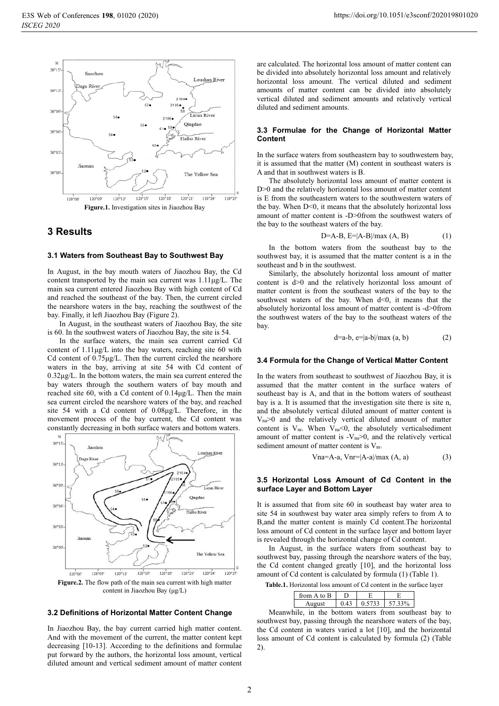

## **3 Results**

#### **3.1 Waters from Southeast Bay to Southwest Bay**

In August, in the bay mouth waters of Jiaozhou Bay, the Cd content transported by the main sea current was 1.11μg/L. The main sea current entered Jiaozhou Bay with high content of Cd and reached the southeast of the bay. Then, the current circled the nearshore waters in the bay, reaching the southwest of the bay. Finally, it left Jiaozhou Bay (Figure 2).

In August, in the southeast waters of Jiaozhou Bay, the site is 60. In the southwest waters of Jiaozhou Bay, the site is 54.

In the surface waters, the main sea current carried Cd content of 1.11μg/L into the bay waters, reaching site 60 with Cd content of 0.75μg/L. Then the current circled the nearshore waters in the bay, arriving at site 54 with Cd content of 0.32μg/L. In the bottom waters, the main sea current entered the bay waters through the southern waters of bay mouth and reached site 60, with a Cd content of 0.14μg/L. Then the main sea current circled the nearshore waters of the bay, and reached site 54 with a Cd content of 0.08μg/L. Therefore, in the movement process of the bay current, the Cd content was constantly decreasing in both surface waters and bottom waters.



#### **3.2 Definitions of Horizontal Matter Content Change**

In Jiaozhou Bay, the bay current carried high matter content. And with the movement of the current, the matter content kept decreasing [10-13]. According to the definitions and formulae put forward by the authors, the horizontal loss amount, vertical diluted amount and vertical sediment amount of matter content are calculated. The horizontal loss amount of matter content can be divided into absolutely horizontal loss amount and relatively horizontal loss amount. The vertical diluted and sediment amounts of matter content can be divided into absolutely vertical diluted and sediment amounts and relatively vertical diluted and sediment amounts.

#### **3.3 Formulae for the Change of Horizontal Matter Content**

In the surface waters from southeastern bay to southwestern bay, it is assumed that the matter (M) content in southeast waters is A and that in southwest waters is B.

The absolutely horizontal loss amount of matter content is D>0 and the relatively horizontal loss amount of matter content is E from the southeastern waters to the southwestern waters of the bay. When D<0, it means that the absolutely horizontal loss amount of matter content is -D>0from the southwest waters of the bay to the southeast waters of the bay.

$$
D=A-B, E=|A-B|/max(A, B)
$$
 (1)

In the bottom waters from the southeast bay to the southwest bay, it is assumed that the matter content is a in the southeast and b in the southwest.

Similarly, the absolutely horizontal loss amount of matter content is d>0 and the relatively horizontal loss amount of matter content is from the southeast waters of the bay to the southwest waters of the bay. When  $d<0$ , it means that the absolutely horizontal loss amount of matter content is -d>0from the southwest waters of the bay to the southeast waters of the bay.

$$
d=a-b, e=|a-b|/max (a, b)
$$
 (2)

#### **3.4 Formula for the Change of Vertical Matter Content**

In the waters from southeast to southwest of Jiaozhou Bay, it is assumed that the matter content in the surface waters of southeast bay is A, and that in the bottom waters of southeast bay is a. It is assumed that the investigation site there is site n, and the absolutely vertical diluted amount of matter content is Vna>0 and the relatively vertical diluted amount of matter content is  $V_{\text{nr}}$ . When  $V_{\text{na}} \le 0$ , the absolutely verticalsediment amount of matter content is  $-V_{na}$  $\geq 0$ , and the relatively vertical sediment amount of matter content is  $V_{nr}$ .

$$
Vna=A-a, Vnr=|A-a|/max(A, a)
$$
 (3)

#### **3.5 Horizontal Loss Amount of Cd Content in the surface Layer and Bottom Layer**

It is assumed that from site 60 in southeast bay water area to site 54 in southwest bay water area simply refers to from A to B,and the matter content is mainly Cd content.The horizontal loss amount of Cd content in the surface layer and bottom layer is revealed through the horizontal change of Cd content.

In August, in the surface waters from southeast bay to southwest bay, passing through the nearshore waters of the bay, the Cd content changed greatly [10], and the horizontal loss amount of Cd content is calculated by formula (1) (Table 1).

**Table.1.** Horizontal loss amount of Cd content in the surface layer

| from A to B |  |  |
|-------------|--|--|
|             |  |  |

Meanwhile, in the bottom waters from southeast bay to southwest bay, passing through the nearshore waters of the bay, the Cd content in waters varied a lot [10], and the horizontal loss amount of Cd content is calculated by formula (2) (Table 2).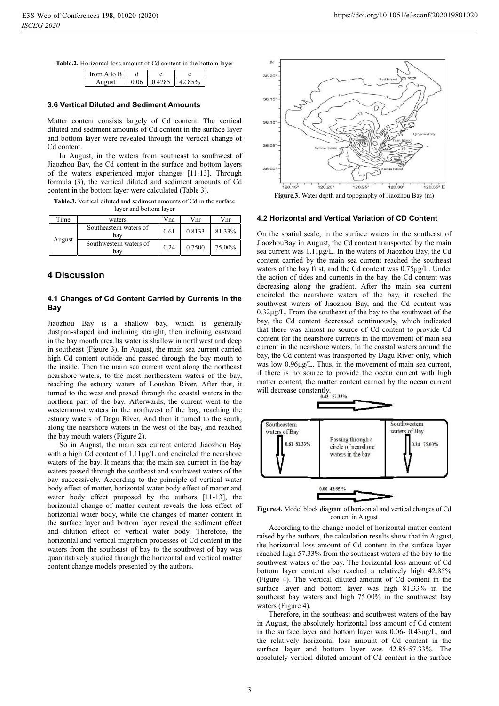**Table.2.** Horizontal loss amount of Cd content in the bottom layer

| trom A to B |       |      |
|-------------|-------|------|
|             | .4285 | 950/ |

### **3.6 Vertical Diluted and Sediment Amounts**

Matter content consists largely of Cd content. The vertical diluted and sediment amounts of Cd content in the surface layer and bottom layer were revealed through the vertical change of Cd content.

In August, in the waters from southeast to southwest of Jiaozhou Bay, the Cd content in the surface and bottom layers of the waters experienced major changes [11-13]. Through formula (3), the vertical diluted and sediment amounts of Cd content in the bottom layer were calculated (Table 3).

**Table.3.** Vertical diluted and sediment amounts of Cd in the surface layer and bottom layer

| Time   | waters                        | Vna  | Vnr    | Vnr    |
|--------|-------------------------------|------|--------|--------|
| August | Southeastern waters of<br>bav | 0.61 | 0.8133 | 81.33% |
|        | Southwestern waters of<br>bav | 0.24 | 0.7500 | 75.00% |

## **4 Discussion**

### **4.1 Changes of Cd Content Carried by Currents in the Bay**

Jiaozhou Bay is a shallow bay, which is generally dustpan-shaped and inclining straight, then inclining eastward in the bay mouth area.Its water is shallow in northwest and deep in southeast (Figure 3). In August, the main sea current carried high Cd content outside and passed through the bay mouth to the inside. Then the main sea current went along the northeast nearshore waters, to the most northeastern waters of the bay, reaching the estuary waters of Loushan River. After that, it turned to the west and passed through the coastal waters in the northern part of the bay. Afterwards, the current went to the westernmost waters in the northwest of the bay, reaching the estuary waters of Dagu River. And then it turned to the south, along the nearshore waters in the west of the bay, and reached the bay mouth waters (Figure 2).

So in August, the main sea current entered Jiaozhou Bay with a high Cd content of 1.11μg/L and encircled the nearshore waters of the bay. It means that the main sea current in the bay waters passed through the southeast and southwest waters of the bay successively. According to the principle of vertical water body effect of matter, horizontal water body effect of matter and water body effect proposed by the authors [11-13], the horizontal change of matter content reveals the loss effect of horizontal water body, while the changes of matter content in the surface layer and bottom layer reveal the sediment effect and dilution effect of vertical water body. Therefore, the horizontal and vertical migration processes of Cd content in the waters from the southeast of bay to the southwest of bay was quantitatively studied through the horizontal and vertical matter content change models presented by the authors.



#### **4.2 Horizontal and Vertical Variation of CD Content**

On the spatial scale, in the surface waters in the southeast of JiaozhouBay in August, the Cd content transported by the main sea current was 1.11μg/L. In the waters of Jiaozhou Bay, the Cd content carried by the main sea current reached the southeast waters of the bay first, and the Cd content was 0.75μg/L. Under the action of tides and currents in the bay, the Cd content was decreasing along the gradient. After the main sea current encircled the nearshore waters of the bay, it reached the southwest waters of Jiaozhou Bay, and the Cd content was 0.32μg/L. From the southeast of the bay to the southwest of the bay, the Cd content decreased continuously, which indicated that there was almost no source of Cd content to provide Cd content for the nearshore currents in the movement of main sea current in the nearshore waters. In the coastal waters around the bay, the Cd content was transported by Dagu River only, which was low 0.96μg/L. Thus, in the movement of main sea current, if there is no source to provide the ocean current with high matter content, the matter content carried by the ocean current will decrease constantly.<br>0.43 57.33%



**Figure.4.** Model block diagram of horizontal and vertical changes of Cd content in August

According to the change model of horizontal matter content raised by the authors, the calculation results show that in August, the horizontal loss amount of Cd content in the surface layer reached high 57.33% from the southeast waters of the bay to the southwest waters of the bay. The horizontal loss amount of Cd bottom layer content also reached a relatively high 42.85% (Figure 4). The vertical diluted amount of Cd content in the surface layer and bottom layer was high 81.33% in the southeast bay waters and high 75.00% in the southwest bay waters (Figure 4).

Therefore, in the southeast and southwest waters of the bay in August, the absolutely horizontal loss amount of Cd content in the surface layer and bottom layer was 0.06- 0.43μg/L, and the relatively horizontal loss amount of Cd content in the surface layer and bottom layer was 42.85-57.33%. The absolutely vertical diluted amount of Cd content in the surface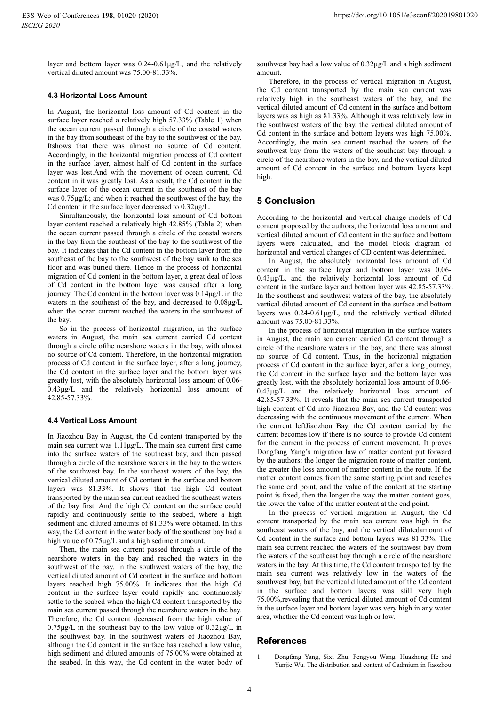layer and bottom layer was 0.24-0.61μg/L, and the relatively vertical diluted amount was 75.00-81.33%.

### **4.3 Horizontal Loss Amount**

In August, the horizontal loss amount of Cd content in the surface layer reached a relatively high 57.33% (Table 1) when the ocean current passed through a circle of the coastal waters in the bay from southeast of the bay to the southwest of the bay. Itshows that there was almost no source of Cd content. Accordingly, in the horizontal migration process of Cd content in the surface layer, almost half of Cd content in the surface layer was lost.And with the movement of ocean current, Cd content in it was greatly lost. As a result, the Cd content in the surface layer of the ocean current in the southeast of the bay was 0.75μg/L; and when it reached the southwest of the bay, the Cd content in the surface layer decreased to 0.32μg/L.

Simultaneously, the horizontal loss amount of Cd bottom layer content reached a relatively high 42.85% (Table 2) when the ocean current passed through a circle of the coastal waters in the bay from the southeast of the bay to the southwest of the bay. It indicates that the Cd content in the bottom layer from the southeast of the bay to the southwest of the bay sank to the sea floor and was buried there. Hence in the process of horizontal migration of Cd content in the bottom layer, a great deal of loss of Cd content in the bottom layer was caused after a long journey. The Cd content in the bottom layer was 0.14μg/L in the waters in the southeast of the bay, and decreased to 0.08μg/L when the ocean current reached the waters in the southwest of the bay.

So in the process of horizontal migration, in the surface waters in August, the main sea current carried Cd content through a circle ofthe nearshore waters in the bay, with almost no source of Cd content. Therefore, in the horizontal migration process of Cd content in the surface layer, after a long journey, the Cd content in the surface layer and the bottom layer was greatly lost, with the absolutely horizontal loss amount of 0.06- 0.43μg/L and the relatively horizontal loss amount of 42.85-57.33%.

#### **4.4 Vertical Loss Amount**

In Jiaozhou Bay in August, the Cd content transported by the main sea current was 1.11μg/L. The main sea current first came into the surface waters of the southeast bay, and then passed through a circle of the nearshore waters in the bay to the waters of the southwest bay. In the southeast waters of the bay, the vertical diluted amount of Cd content in the surface and bottom layers was 81.33%. It shows that the high Cd content transported by the main sea current reached the southeast waters of the bay first. And the high Cd content on the surface could rapidly and continuously settle to the seabed, where a high sediment and diluted amounts of 81.33% were obtained. In this way, the Cd content in the water body of the southeast bay had a high value of 0.75μg/L and a high sediment amount.

Then, the main sea current passed through a circle of the nearshore waters in the bay and reached the waters in the southwest of the bay. In the southwest waters of the bay, the vertical diluted amount of Cd content in the surface and bottom layers reached high 75.00%. It indicates that the high Cd content in the surface layer could rapidly and continuously settle to the seabed when the high Cd content transported by the main sea current passed through the nearshore waters in the bay. Therefore, the Cd content decreased from the high value of 0.75μg/L in the southeast bay to the low value of 0.32μg/L in the southwest bay. In the southwest waters of Jiaozhou Bay, although the Cd content in the surface has reached a low value, high sediment and diluted amounts of 75.00% were obtained at the seabed. In this way, the Cd content in the water body of

southwest bay had a low value of 0.32μg/L and a high sediment amount.

Therefore, in the process of vertical migration in August, the Cd content transported by the main sea current was relatively high in the southeast waters of the bay, and the vertical diluted amount of Cd content in the surface and bottom layers was as high as 81.33%. Although it was relatively low in the southwest waters of the bay, the vertical diluted amount of Cd content in the surface and bottom layers was high 75.00%. Accordingly, the main sea current reached the waters of the southwest bay from the waters of the southeast bay through a circle of the nearshore waters in the bay, and the vertical diluted amount of Cd content in the surface and bottom layers kept high.

## **5 Conclusion**

According to the horizontal and vertical change models of Cd content proposed by the authors, the horizontal loss amount and vertical diluted amount of Cd content in the surface and bottom layers were calculated, and the model block diagram of horizontal and vertical changes of CD content was determined.

In August, the absolutely horizontal loss amount of Cd content in the surface layer and bottom layer was 0.06- 0.43μg/L, and the relatively horizontal loss amount of Cd content in the surface layer and bottom layer was 42.85-57.33%. In the southeast and southwest waters of the bay, the absolutely vertical diluted amount of Cd content in the surface and bottom layers was 0.24-0.61μg/L, and the relatively vertical diluted amount was 75.00-81.33%.

In the process of horizontal migration in the surface waters in August, the main sea current carried Cd content through a circle of the nearshore waters in the bay, and there was almost no source of Cd content. Thus, in the horizontal migration process of Cd content in the surface layer, after a long journey, the Cd content in the surface layer and the bottom layer was greatly lost, with the absolutely horizontal loss amount of 0.06- 0.43μg/L and the relatively horizontal loss amount of 42.85-57.33%. It reveals that the main sea current transported high content of Cd into Jiaozhou Bay, and the Cd content was decreasing with the continuous movement of the current. When the current leftJiaozhou Bay, the Cd content carried by the current becomes low if there is no source to provide Cd content for the current in the process of current movement. It proves Dongfang Yang's migration law of matter content put forward by the authors: the longer the migration route of matter content, the greater the loss amount of matter content in the route. If the matter content comes from the same starting point and reaches the same end point, and the value of the content at the starting point is fixed, then the longer the way the matter content goes, the lower the value of the matter content at the end point.

In the process of vertical migration in August, the Cd content transported by the main sea current was high in the southeast waters of the bay, and the vertical dilutedamount of Cd content in the surface and bottom layers was 81.33%. The main sea current reached the waters of the southwest bay from the waters of the southeast bay through a circle of the nearshore waters in the bay. At this time, the Cd content transported by the main sea current was relatively low in the waters of the southwest bay, but the vertical diluted amount of the Cd content in the surface and bottom layers was still very high 75.00%,revealing that the vertical diluted amount of Cd content in the surface layer and bottom layer was very high in any water area, whether the Cd content was high or low.

## **References**

1. Dongfang Yang, Sixi Zhu, Fengyou Wang, Huazhong He and Yunjie Wu. The distribution and content of Cadmium in Jiaozhou